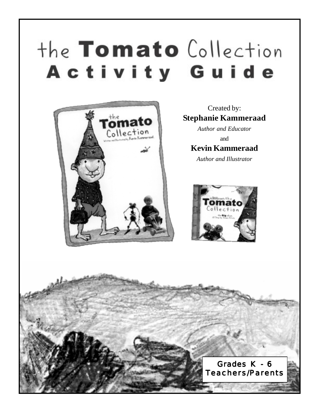# the Tomato Collection Activity Guide



Created by: **Stephanie Kammeraad**

*Author and Educator* and **Kevin Kammeraad**

*Author and Illustrator*



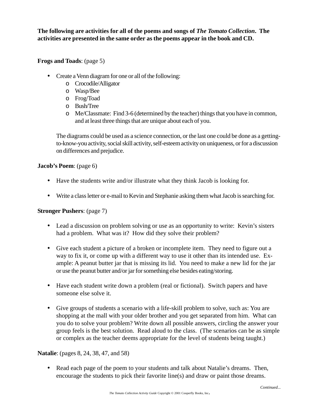**The following are activities for all of the poems and songs of** *The Tomato Collection***. The activities are presented in the same order as the poems appear in the book and CD.**

**Frogs and Toads**: (page 5)

- Create a Venn diagram for one or all of the following:
	- o Crocodile/Alligator
	- o Wasp/Bee
	- o Frog/Toad
	- o Bush/Tree
	- o Me/Classmate: Find 3-6 (determined by the teacher) things that you have in common, and at least three things that are unique about each of you.

The diagrams could be used as a science connection, or the last one could be done as a gettingto-know-you activity, social skill activity, self-esteem activity on uniqueness, or for a discussion on differences and prejudice.

# **Jacob's Poem**: (page 6)

- Have the students write and/or illustrate what they think Jacob is looking for.
- Write a class letter or e-mail to Kevin and Stephanie asking them what Jacob is searching for.

# **Stronger Pushers**: (page 7)

- Lead a discussion on problem solving or use as an opportunity to write: Kevin's sisters had a problem. What was it? How did they solve their problem?
- Give each student a picture of a broken or incomplete item. They need to figure out a way to fix it, or come up with a different way to use it other than its intended use. Example: A peanut butter jar that is missing its lid. You need to make a new lid for the jar or use the peanut butter and/or jar for something else besides eating/storing.
- Have each student write down a problem (real or fictional). Switch papers and have someone else solve it.
- Give groups of students a scenario with a life-skill problem to solve, such as: You are shopping at the mall with your older brother and you get separated from him. What can you do to solve your problem? Write down all possible answers, circling the answer your group feels is the best solution. Read aloud to the class. (The scenarios can be as simple or complex as the teacher deems appropriate for the level of students being taught.)

# **Natalie**: (pages 8, 24, 38, 47, and 58)

• Read each page of the poem to your students and talk about Natalie's dreams. Then, encourage the students to pick their favorite line(s) and draw or paint those dreams.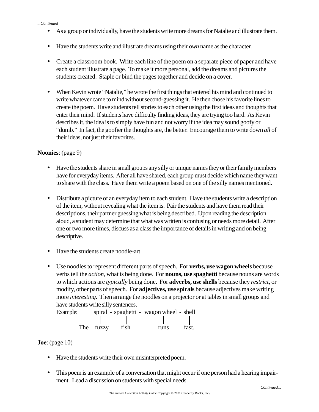#### *...Continued*

- As a group or individually, have the students write more dreams for Natalie and illustrate them.
- Have the students write and illustrate dreams using their *own* name as the character.
- Create a classroom book. Write each line of the poem on a separate piece of paper and have each student illustrate a page. To make it more personal, add the dreams and pictures the students created. Staple or bind the pages together and decide on a cover.
- When Kevin wrote "Natalie," he wrote the first things that entered his mind and continued to write whatever came to mind without second-guessing it. He then chose his favorite lines to create the poem. Have students tell stories to each other using the first ideas and thoughts that enter their mind. If students have difficulty finding ideas, they are trying too hard. As Kevin describes it, the idea is to simply have fun and not worry if the idea may sound goofy or "dumb." In fact, the goofier the thoughts are, the better. Encourage them to write down *all* of their ideas, not just their favorites.

## **Noonies**: (page 9)

- Have the students share in small groups any silly or unique names they or their family members have for everyday items. After all have shared, each group must decide which name they want to share with the class. Have them write a poem based on one of the silly names mentioned.
- Distribute a picture of an everyday item to each student. Have the students write a description of the item, without revealing what the item is. Pair the students and have them read their descriptions, their partner guessing what is being described. Upon reading the description aloud, a student may determine that what was written is confusing or needs more detail. After one or two more times, discuss as a class the importance of details in writing and on being descriptive.
- Have the students create noodle-art.
- Use noodles to represent different parts of speech. For **verbs, use wagon wheels** because verbs tell the *action*, what is being done. For **nouns, use spaghetti** because nouns are words to which actions are *typically* being done. For **adverbs, use shells** because they *restrict*, or modify, other parts of speech. For **adjectives, use spirals** because adjectives make writing more *interesting*. Then arrange the noodles on a projector or at tables in small groups and have students write silly sentences.

Example: spiral - spaghetti - wagon wheel - shell The fuzzy fish runs fast.

**Joe**: (page 10)

- Have the students write their own misinterpreted poem.
- This poem is an example of a conversation that might occur if one person had a hearing impairment. Lead a discussion on students with special needs.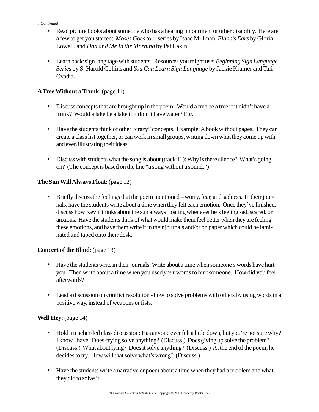#### *...Continued*

- Read picture books about someone who has a hearing impairment or other disability. Here are a few to get you started: *Moses Goes to…* series by Isaac Millman, *Elana's Ears* by Gloria Lowell, and *Dad and Me In the Morning* by Pat Lakin.
- Learn basic sign language with students. Resources you might use: *Beginning Sign Language Series* by S. Harold Collins and *You Can Learn Sign Language* by Jackie Kramer and Tali Ovadia.

# **A Tree Without a Trunk**: (page 11)

- Discuss concepts that are brought up in the poem: Would a tree be a tree if it didn't have a trunk? Would a lake be a lake if it didn't have water? Etc.
- Have the students think of other "crazy" concepts. Example: A book without pages. They can create a class list together, or can work in small groups, writing down what they come up with and even illustrating their ideas.
- Discuss with students what the song is about (track 11): Why is there silence? What's going on? (The concept is based on the line "a song without a sound.")

# **The Sun Will Always Float**: (page 12)

• Briefly discuss the feelings that the poem mentioned – worry, fear, and sadness. In their journals, have the students write about a time when they felt each emotion. Once they've finished, discuss how Kevin thinks about the sun always floating whenever he's feeling sad, scared, or anxious. Have the students think of what would make them feel better when they are feeling these emotions, and have them write it in their journals and/or on paper which could be laminated and taped onto their desk.

# **Concert of the Blind**: (page 13)

- Have the students write in their journals: Write about a time when someone's words have hurt you. Then write about a time when you used *your* words to hurt someone. How did you feel afterwards?
- Lead a discussion on conflict resolution how to solve problems with others by using words in a positive way, instead of weapons or fists.

# **Well Hey**: (page 14)

- Hold a teacher-led class discussion: Has anyone ever felt a little down, but you're not sure why? I know I have. Does crying solve anything? (Discuss.) Does giving up solve the problem? (Discuss.) What about lying? Does it solve anything? (Discuss.) At the end of the poem, he decides to try. How will that solve what's wrong? (Discuss.)
- Have the students write a narrative or poem about a time when they had a problem and what they did to solve it.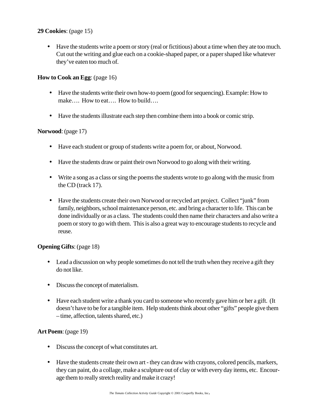## **29 Cookies**: (page 15)

• Have the students write a poem or story (real or fictitious) about a time when they ate too much. Cut out the writing and glue each on a cookie-shaped paper, or a paper shaped like whatever they've eaten too much of.

# **How to Cook an Egg**: (page 16)

- Have the students write their own how-to poem (good for sequencing). Example: How to make…. How to eat…. How to build….
- Have the students illustrate each step then combine them into a book or comic strip.

## **Norwood**: (page 17)

- Have each student or group of students write a poem for, or about, Norwood.
- Have the students draw or paint their own Norwood to go along with their writing.
- Write a song as a class or sing the poems the students wrote to go along with the music from the CD (track 17).
- Have the students create their own Norwood or recycled art project. Collect "junk" from family, neighbors, school maintenance person, etc. and bring a character to life. This can be done individually or as a class. The students could then name their characters and also write a poem or story to go with them. This is also a great way to encourage students to recycle and reuse.

## **Opening Gifts**: (page 18)

- Lead a discussion on why people sometimes do not tell the truth when they receive a gift they do not like.
- Discuss the concept of materialism.
- Have each student write a thank you card to someone who recently gave him or her a gift. (It doesn't have to be for a tangible item. Help students think about other "gifts" people give them – time, affection, talents shared, etc.)

# **Art Poem**: (page 19)

- Discuss the concept of what constitutes art.
- Have the students create their own art they can draw with crayons, colored pencils, markers, they can paint, do a collage, make a sculpture out of clay or with every day items, etc. Encourage them to really stretch reality and make it crazy!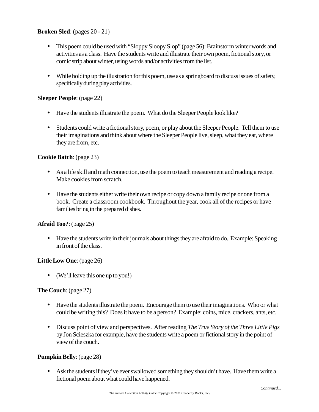## **Broken Sled**: (pages 20 - 21)

- This poem could be used with "Sloppy Sloopy Slop" (page 56): Brainstorm winter words and activities as a class. Have the students write and illustrate their own poem, fictional story, or comic strip about winter, using words and/or activities from the list.
- While holding up the illustration for this poem, use as a springboard to discuss issues of safety, specifically during play activities.

## **Sleeper People**: (page 22)

- Have the students illustrate the poem. What do the Sleeper People look like?
- Students could write a fictional story, poem, or play about the Sleeper People. Tell them to use their imaginations and think about where the Sleeper People live, sleep, what they eat, where they are from, etc.

## **Cookie Batch**: (page 23)

- As a life skill and math connection, use the poem to teach measurement and reading a recipe. Make cookies from scratch.
- Have the students either write their own recipe or copy down a family recipe or one from a book. Create a classroom cookbook. Throughout the year, cook all of the recipes or have families bring in the prepared dishes.

## **Afraid Too?**: (page 25)

• Have the students write in their journals about things they are afraid to do. Example: Speaking in front of the class.

## **Little Low One**: (page 26)

• (We'll leave this one up to you!)

# **The Couch**: (page 27)

- Have the students illustrate the poem. Encourage them to use their imaginations. Who or what could be writing this? Does it have to be a person? Example: coins, mice, crackers, ants, etc.
- Discuss point of view and perspectives. After reading *The True Story of the Three Little Pigs* by Jon Scieszka for example, have the students write a poem or fictional story in the point of view of the couch.

## **Pumpkin Belly**: (page 28)

• Ask the students if they've ever swallowed something they shouldn't have. Have them write a fictional poem about what could have happened.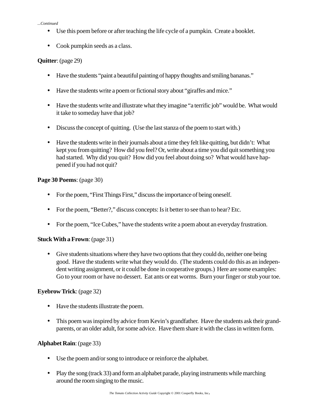#### *...Continued*

- Use this poem before or after teaching the life cycle of a pumpkin. Create a booklet.
- Cook pumpkin seeds as a class.

## **Quitter**: (page 29)

- Have the students "paint a beautiful painting of happy thoughts and smiling bananas."
- Have the students write a poem or fictional story about "giraffes and mice."
- Have the students write and illustrate what they imagine "a terrific job" would be. What would it take to someday have that job?
- Discuss the concept of quitting. (Use the last stanza of the poem to start with.)
- Have the students write in their journals about a time they felt like quitting, but didn't: What kept you from quitting? How did you feel? Or, write about a time you did quit something you had started. Why did you quit? How did you feel about doing so? What would have happened if you had not quit?

## **Page 30 Poems**: (page 30)

- For the poem, "First Things First," discuss the importance of being oneself.
- For the poem, "Better?," discuss concepts: Is it better to see than to hear? Etc.
- For the poem, "Ice Cubes," have the students write a poem about an everyday frustration.

# **Stuck With a Frown**: (page 31)

• Give students situations where they have two options that they could do, neither one being good. Have the students write what they would do. (The students could do this as an independent writing assignment, or it could be done in cooperative groups.) Here are some examples: Go to your room or have no dessert. Eat ants or eat worms. Burn your finger or stub your toe.

# **Eyebrow Trick**: (page 32)

- Have the students illustrate the poem.
- This poem was inspired by advice from Kevin's grandfather. Have the students ask their grandparents, or an older adult, for some advice. Have them share it with the class in written form.

## **Alphabet Rain**: (page 33)

- Use the poem and/or song to introduce or reinforce the alphabet.
- Play the song (track 33) and form an alphabet parade, playing instruments while marching around the room singing to the music.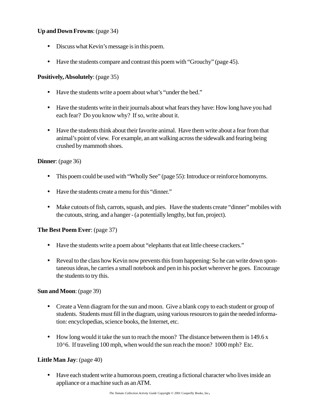## **Up and Down Frowns**: (page 34)

- Discuss what Kevin's message is in this poem.
- Have the students compare and contrast this poem with "Grouchy" (page 45).

## **Positively, Absolutely**: (page 35)

- Have the students write a poem about what's "under the bed."
- Have the students write in their journals about what fears they have: How long have you had each fear? Do you know why? If so, write about it.
- Have the students think about their favorite animal. Have them write about a fear from that animal's point of view. For example, an ant walking across the sidewalk and fearing being crushed by mammoth shoes.

## **Dinner**: (page 36)

- This poem could be used with "Wholly See" (page 55): Introduce or reinforce homonyms.
- Have the students create a menu for this "dinner."
- Make cutouts of fish, carrots, squash, and pies. Have the students create "dinner" mobiles with the cutouts, string, and a hanger - (a potentially lengthy, but fun, project).

## **The Best Poem Ever**: (page 37)

- Have the students write a poem about "elephants that eat little cheese crackers."
- Reveal to the class how Kevin now prevents this from happening: So he can write down spontaneous ideas, he carries a small notebook and pen in his pocket wherever he goes. Encourage the students to try this.

## **Sun and Moon**: (page 39)

- Create a Venn diagram for the sun and moon. Give a blank copy to each student or group of students. Students must fill in the diagram, using various resources to gain the needed information: encyclopedias, science books, the Internet, etc.
- How long would it take the sun to reach the moon? The distance between them is 149.6 x 10^6. If traveling 100 mph, when would the sun reach the moon? 1000 mph? Etc.

## **Little Man Jay**: (page 40)

• Have each student write a humorous poem, creating a fictional character who lives inside an appliance or a machine such as an ATM.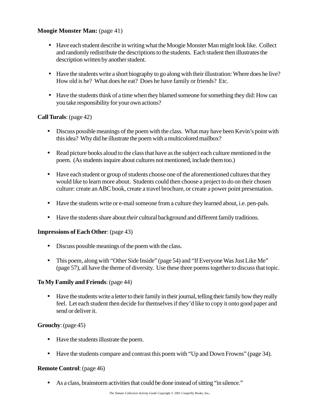## **Moogie Monster Man:** (page 41)

- Have each student describe in writing what the Moogie Monster Man might look like. Collect and randomly redistribute the descriptions to the students. Each student then illustrates the description written by another student.
- Have the students write a short biography to go along with their illustration: Where does he live? How old is he? What does he eat? Does he have family or friends? Etc.
- Have the students think of a time when they blamed someone for something they did: How can you take responsibility for your own actions?

## **Call Turals**: (page 42)

- Discuss possible meanings of the poem with the class. What may have been Kevin's point with this idea? Why did he illustrate the poem with a multicolored mailbox?
- Read picture books aloud to the class that have as the subject each culture mentioned in the poem. (As students inquire about cultures not mentioned, include them too.)
- Have each student or group of students choose one of the aforementioned cultures that they would like to learn more about. Students could then choose a project to do on their chosen culture: create an ABC book, create a travel brochure, or create a power point presentation.
- Have the students write or e-mail someone from a culture they learned about, i.e. pen-pals.
- Have the students share about *their* cultural background and different family traditions.

## **Impressions of Each Other**: (page 43)

- Discuss possible meanings of the poem with the class.
- This poem, along with "Other Side Inside" (page 54) and "If Everyone Was Just Like Me" (page 57), all have the theme of diversity. Use these three poems together to discuss that topic.

## **To My Family and Friends**: (page 44)

• Have the students write a letter to their family in their journal, telling their family how they really feel. Let each student then decide for themselves if they'd like to copy it onto good paper and send or deliver it.

## **Grouchy**: (page 45)

- Have the students illustrate the poem.
- Have the students compare and contrast this poem with "Up and Down Frowns" (page 34).

## **Remote Control**: (page 46)

• As a class, brainstorm activities that could be done instead of sitting "in silence."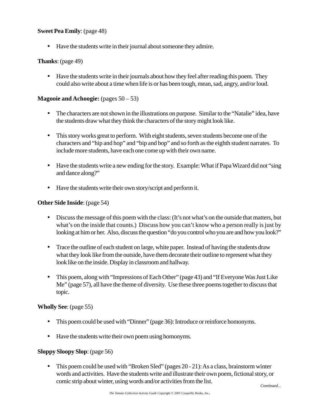## **Sweet Pea Emily**: (page 48)

• Have the students write in their journal about someone they admire.

## **Thanks**: (page 49)

• Have the students write in their journals about how they feel after reading this poem. They could also write about a time when life is or has been tough, mean, sad, angry, and/or loud.

## **Magooie and Achoogie:** (pages  $50-53$ )

- The characters are not shown in the illustrations on purpose. Similar to the "Natalie" idea, have the students draw what they think the characters of the story might look like.
- This story works great to perform. With eight students, seven students become one of the characters and "hip and hop" and "bip and bop" and so forth as the eighth student narrates. To include more students, have each one come up with their own name.
- Have the students write a new ending for the story. Example: What if Papa Wizard did not "sing and dance along?"
- Have the students write their own story/script and perform it.

## **Other Side Inside**: (page 54)

- Discuss the message of this poem with the class: (It's not what's on the outside that matters, but what's on the inside that counts.) Discuss how you can't know who a person really is just by looking at him or her. Also, discuss the question "do you control who you are and how you look?"
- Trace the outline of each student on large, white paper. Instead of having the students draw what they look like from the outside, have them decorate their outline to represent what they look like on the inside. Display in classroom and hallway.
- This poem, along with "Impressions of Each Other" (page 43) and "If Everyone Was Just Like Me" (page 57), all have the theme of diversity. Use these three poems together to discuss that topic.

## **Wholly See**: (page 55)

- This poem could be used with "Dinner" (page 36): Introduce or reinforce homonyms.
- Have the students write their own poem using homonyms.

## **Sloppy Sloopy Slop**: (page 56)

• This poem could be used with "Broken Sled" (pages 20 - 21): As a class, brainstorm winter words and activities. Have the students write and illustrate their own poem, fictional story, or comic strip about winter, using words and/or activities from the list.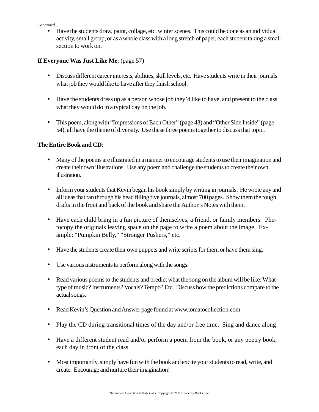#### *Continued...*

• Have the students draw, paint, collage, etc. winter scenes. This could be done as an individual activity, small group, or as a whole class with a long stretch of paper, each student taking a small section to work on.

## **If Everyone Was Just Like Me**: (page 57)

- Discuss different career interests, abilities, skill levels, etc. Have students write in their journals what job they would like to have after they finish school.
- Have the students dress up as a person whose job they'd like to have, and present to the class what they would do in a typical day on the job.
- This poem, along with "Impressions of Each Other" (page 43) and "Other Side Inside" (page 54), all have the theme of diversity. Use these three poems together to discuss that topic.

## **The Entire Book and CD**:

- Many of the poems are illustrated in a manner to encourage students to use their imagination and create their own illustrations. Use any poem and challenge the students to create their own illustration.
- Inform your students that Kevin began his book simply by writing in journals. He wrote any and all ideas that ran through his head filling five journals, almost 700 pages. Show them the rough drafts in the front and back of the book and share the Author's Notes with them.
- Have each child bring in a fun picture of themselves, a friend, or family members. Photocopy the originals leaving space on the page to write a poem about the image. Example: "Pumpkin Belly," "Stronger Pushers," etc.
- Have the students create their own puppets and write scripts for them or have them sing.
- Use various instruments to perform along with the songs.
- Read various poems to the students and predict what the song on the album will be like: What type of music? Instruments? Vocals? Tempo? Etc. Discuss how the predictions compare to the actual songs.
- Read Kevin's Question and Answer page found at www.tomatocollection.com.
- Play the CD during transitional times of the day and/or free time. Sing and dance along!
- Have a different student read and/or perform a poem from the book, or any poetry book, each day in front of the class.
- Most importantly, simply have fun with the book and excite your students to read, write, and create. Encourage and nurture their imagination!